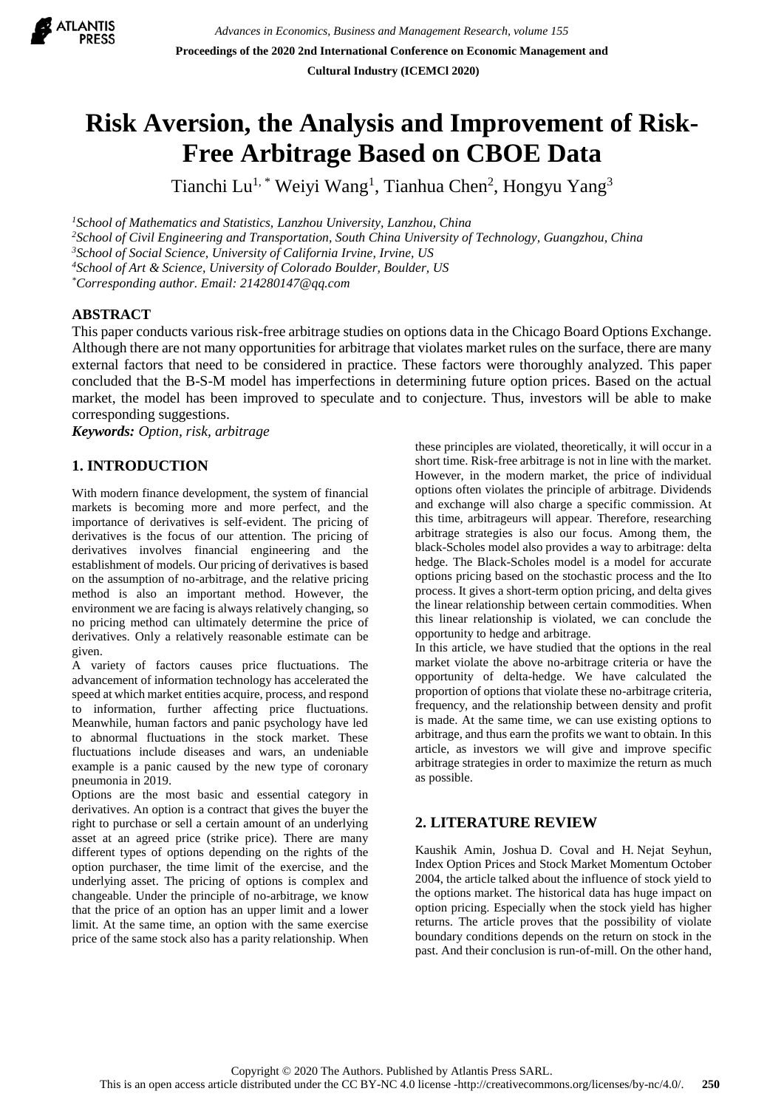

# **Risk Aversion, the Analysis and Improvement of Risk-Free Arbitrage Based on CBOE Data**

Tianchi Lu<sup>1,\*</sup> Weiyi Wang<sup>1</sup>, Tianhua Chen<sup>2</sup>, Hongyu Yang<sup>3</sup>

*<sup>1</sup>School of Mathematics and Statistics, Lanzhou University, Lanzhou, China*

*<sup>2</sup>School of Civil Engineering and Transportation, South China University of Technology, Guangzhou, China*

*<sup>3</sup>School of Social Science, University of California Irvine, Irvine, US*

*<sup>4</sup>School of Art & Science, University of Colorado Boulder, Boulder, US*

*\*Corresponding author. Email: 214280147@qq.com*

## **ABSTRACT**

This paper conducts various risk-free arbitrage studies on options data in the Chicago Board Options Exchange. Although there are not many opportunities for arbitrage that violates market rules on the surface, there are many external factors that need to be considered in practice. These factors were thoroughly analyzed. This paper concluded that the B-S-M model has imperfections in determining future option prices. Based on the actual market, the model has been improved to speculate and to conjecture. Thus, investors will be able to make corresponding suggestions.

*Keywords: Option, risk, arbitrage*

# **1. INTRODUCTION**

With modern finance development, the system of financial markets is becoming more and more perfect, and the importance of derivatives is self-evident. The pricing of derivatives is the focus of our attention. The pricing of derivatives involves financial engineering and the establishment of models. Our pricing of derivatives is based on the assumption of no-arbitrage, and the relative pricing method is also an important method. However, the environment we are facing is always relatively changing, so no pricing method can ultimately determine the price of derivatives. Only a relatively reasonable estimate can be given.

A variety of factors causes price fluctuations. The advancement of information technology has accelerated the speed at which market entities acquire, process, and respond to information, further affecting price fluctuations. Meanwhile, human factors and panic psychology have led to abnormal fluctuations in the stock market. These fluctuations include diseases and wars, an undeniable example is a panic caused by the new type of coronary pneumonia in 2019.

Options are the most basic and essential category in derivatives. An option is a contract that gives the buyer the right to purchase or sell a certain amount of an underlying asset at an agreed price (strike price). There are many different types of options depending on the rights of the option purchaser, the time limit of the exercise, and the underlying asset. The pricing of options is complex and changeable. Under the principle of no-arbitrage, we know that the price of an option has an upper limit and a lower limit. At the same time, an option with the same exercise price of the same stock also has a parity relationship. When these principles are violated, theoretically, it will occur in a short time. Risk-free arbitrage is not in line with the market. However, in the modern market, the price of individual options often violates the principle of arbitrage. Dividends and exchange will also charge a specific commission. At this time, arbitrageurs will appear. Therefore, researching arbitrage strategies is also our focus. Among them, the black-Scholes model also provides a way to arbitrage: delta hedge. The Black-Scholes model is a model for accurate options pricing based on the stochastic process and the Ito process. It gives a short-term option pricing, and delta gives the linear relationship between certain commodities. When this linear relationship is violated, we can conclude the opportunity to hedge and arbitrage.

In this article, we have studied that the options in the real market violate the above no-arbitrage criteria or have the opportunity of delta-hedge. We have calculated the proportion of options that violate these no-arbitrage criteria, frequency, and the relationship between density and profit is made. At the same time, we can use existing options to arbitrage, and thus earn the profits we want to obtain. In this article, as investors we will give and improve specific arbitrage strategies in order to maximize the return as much as possible.

# **2. LITERATURE REVIEW**

Kaushik Amin, Joshua D. Coval and H. Nejat Seyhun, Index Option Prices and Stock Market Momentum October 2004, the article talked about the influence of stock yield to the options market. The historical data has huge impact on option pricing. Especially when the stock yield has higher returns. The article proves that the possibility of violate boundary conditions depends on the return on stock in the past. And their conclusion is run-of-mill. On the other hand,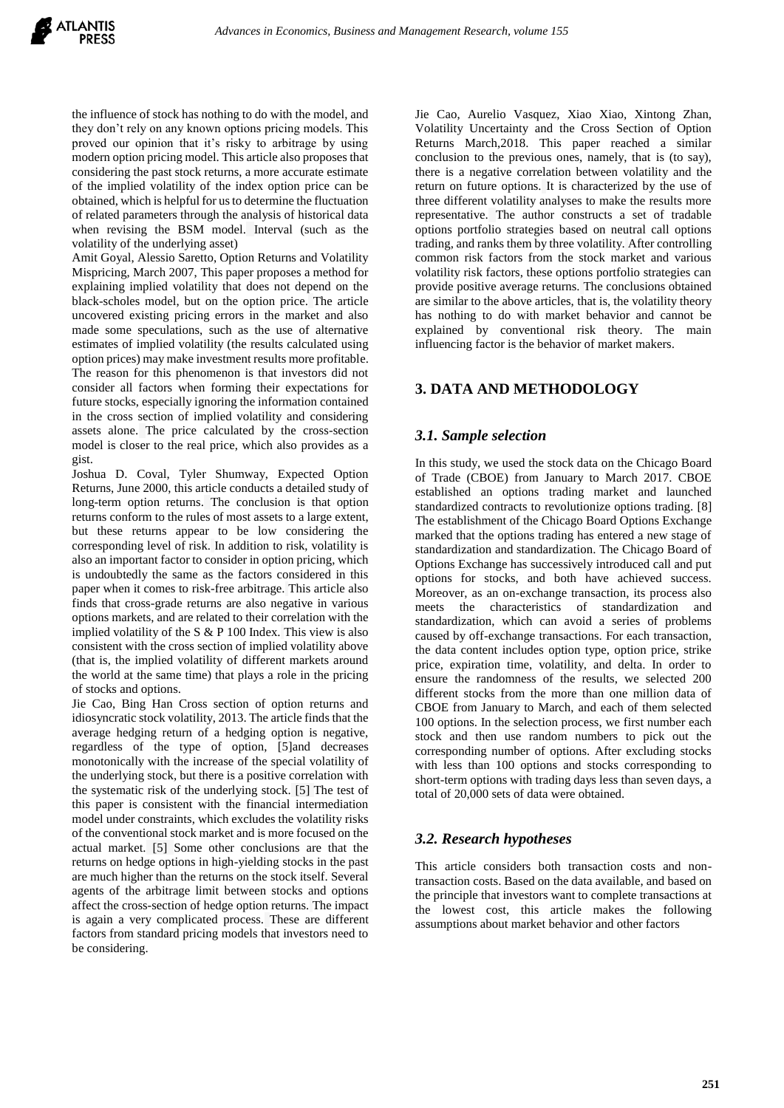the influence of stock has nothing to do with the model, and they don't rely on any known options pricing models. This proved our opinion that it's risky to arbitrage by using modern option pricing model. This article also proposes that considering the past stock returns, a more accurate estimate of the implied volatility of the index option price can be obtained, which is helpful for us to determine the fluctuation of related parameters through the analysis of historical data when revising the BSM model. Interval (such as the volatility of the underlying asset)

Amit Goyal, Alessio Saretto, Option Returns and Volatility Mispricing, March 2007, This paper proposes a method for explaining implied volatility that does not depend on the black-scholes model, but on the option price. The article uncovered existing pricing errors in the market and also made some speculations, such as the use of alternative estimates of implied volatility (the results calculated using option prices) may make investment results more profitable. The reason for this phenomenon is that investors did not consider all factors when forming their expectations for future stocks, especially ignoring the information contained in the cross section of implied volatility and considering assets alone. The price calculated by the cross-section model is closer to the real price, which also provides as a gist.

Joshua D. Coval, Tyler Shumway, Expected Option Returns, June 2000, this article conducts a detailed study of long-term option returns. The conclusion is that option returns conform to the rules of most assets to a large extent, but these returns appear to be low considering the corresponding level of risk. In addition to risk, volatility is also an important factor to consider in option pricing, which is undoubtedly the same as the factors considered in this paper when it comes to risk-free arbitrage. This article also finds that cross-grade returns are also negative in various options markets, and are related to their correlation with the implied volatility of the S & P 100 Index. This view is also consistent with the cross section of implied volatility above (that is, the implied volatility of different markets around the world at the same time) that plays a role in the pricing of stocks and options.

Jie Cao, Bing Han Cross section of option returns and idiosyncratic stock volatility, 2013. The article finds that the average hedging return of a hedging option is negative, regardless of the type of option, [5]and decreases monotonically with the increase of the special volatility of the underlying stock, but there is a positive correlation with the systematic risk of the underlying stock. [5] The test of this paper is consistent with the financial intermediation model under constraints, which excludes the volatility risks of the conventional stock market and is more focused on the actual market. [5] Some other conclusions are that the returns on hedge options in high-yielding stocks in the past are much higher than the returns on the stock itself. Several agents of the arbitrage limit between stocks and options affect the cross-section of hedge option returns. The impact is again a very complicated process. These are different factors from standard pricing models that investors need to be considering.

Jie Cao, Aurelio Vasquez, Xiao Xiao, Xintong Zhan, Volatility Uncertainty and the Cross Section of Option Returns March,2018. This paper reached a similar conclusion to the previous ones, namely, that is (to say), there is a negative correlation between volatility and the return on future options. It is characterized by the use of three different volatility analyses to make the results more representative. The author constructs a set of tradable options portfolio strategies based on neutral call options trading, and ranks them by three volatility. After controlling common risk factors from the stock market and various volatility risk factors, these options portfolio strategies can provide positive average returns. The conclusions obtained are similar to the above articles, that is, the volatility theory has nothing to do with market behavior and cannot be explained by conventional risk theory. The main influencing factor is the behavior of market makers.

# **3. DATA AND METHODOLOGY**

## *3.1. Sample selection*

In this study, we used the stock data on the Chicago Board of Trade (CBOE) from January to March 2017. CBOE established an options trading market and launched standardized contracts to revolutionize options trading. [8] The establishment of the Chicago Board Options Exchange marked that the options trading has entered a new stage of standardization and standardization. The Chicago Board of Options Exchange has successively introduced call and put options for stocks, and both have achieved success. Moreover, as an on-exchange transaction, its process also meets the characteristics of standardization and standardization, which can avoid a series of problems caused by off-exchange transactions. For each transaction, the data content includes option type, option price, strike price, expiration time, volatility, and delta. In order to ensure the randomness of the results, we selected 200 different stocks from the more than one million data of CBOE from January to March, and each of them selected 100 options. In the selection process, we first number each stock and then use random numbers to pick out the corresponding number of options. After excluding stocks with less than 100 options and stocks corresponding to short-term options with trading days less than seven days, a total of 20,000 sets of data were obtained.

## *3.2. Research hypotheses*

This article considers both transaction costs and nontransaction costs. Based on the data available, and based on the principle that investors want to complete transactions at the lowest cost, this article makes the following assumptions about market behavior and other factors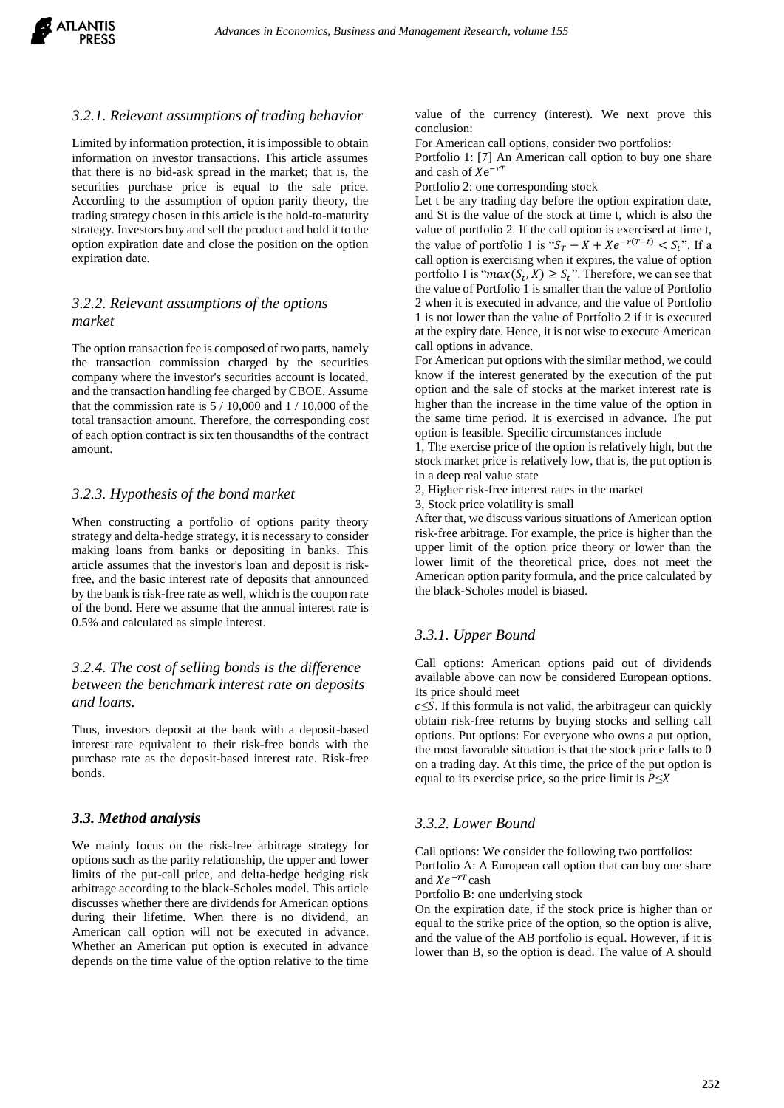

#### *3.2.1. Relevant assumptions of trading behavior*

Limited by information protection, it is impossible to obtain information on investor transactions. This article assumes that there is no bid-ask spread in the market; that is, the securities purchase price is equal to the sale price. According to the assumption of option parity theory, the trading strategy chosen in this article is the hold-to-maturity strategy. Investors buy and sell the product and hold it to the option expiration date and close the position on the option expiration date.

## *3.2.2. Relevant assumptions of the options market*

The option transaction fee is composed of two parts, namely the transaction commission charged by the securities company where the investor's securities account is located, and the transaction handling fee charged by CBOE. Assume that the commission rate is  $5/10,000$  and  $1/10,000$  of the total transaction amount. Therefore, the corresponding cost of each option contract is six ten thousandths of the contract amount.

#### *3.2.3. Hypothesis of the bond market*

When constructing a portfolio of options parity theory strategy and delta-hedge strategy, it is necessary to consider making loans from banks or depositing in banks. This article assumes that the investor's loan and deposit is riskfree, and the basic interest rate of deposits that announced by the bank is risk-free rate as well, which is the coupon rate of the bond. Here we assume that the annual interest rate is 0.5% and calculated as simple interest.

## *3.2.4. The cost of selling bonds is the difference between the benchmark interest rate on deposits and loans.*

Thus, investors deposit at the bank with a deposit-based interest rate equivalent to their risk-free bonds with the purchase rate as the deposit-based interest rate. Risk-free bonds.

#### *3.3. Method analysis*

We mainly focus on the risk-free arbitrage strategy for options such as the parity relationship, the upper and lower limits of the put-call price, and delta-hedge hedging risk arbitrage according to the black-Scholes model. This article discusses whether there are dividends for American options during their lifetime. When there is no dividend, an American call option will not be executed in advance. Whether an American put option is executed in advance depends on the time value of the option relative to the time

value of the currency (interest). We next prove this conclusion:

For American call options, consider two portfolios:

Portfolio 1: [7] An American call option to buy one share and cash of  $Xe^{-rT}$ 

Portfolio 2: one corresponding stock

Let t be any trading day before the option expiration date, and St is the value of the stock at time t, which is also the value of portfolio 2. If the call option is exercised at time t, the value of portfolio 1 is " $S_T - X + Xe^{-r(T-t)} < S_t$ ". If a call option is exercising when it expires, the value of option portfolio 1 is " $max(S_t, X) \geq S_t$ ". Therefore, we can see that the value of Portfolio 1 is smaller than the value of Portfolio 2 when it is executed in advance, and the value of Portfolio 1 is not lower than the value of Portfolio 2 if it is executed at the expiry date. Hence, it is not wise to execute American call options in advance.

For American put options with the similar method, we could know if the interest generated by the execution of the put option and the sale of stocks at the market interest rate is higher than the increase in the time value of the option in the same time period. It is exercised in advance. The put option is feasible. Specific circumstances include

1, The exercise price of the option is relatively high, but the stock market price is relatively low, that is, the put option is in a deep real value state

2, Higher risk-free interest rates in the market

3, Stock price volatility is small

After that, we discuss various situations of American option risk-free arbitrage. For example, the price is higher than the upper limit of the option price theory or lower than the lower limit of the theoretical price, does not meet the American option parity formula, and the price calculated by the black-Scholes model is biased.

## *3.3.1. Upper Bound*

Call options: American options paid out of dividends available above can now be considered European options. Its price should meet

 $c \leq S$ . If this formula is not valid, the arbitrageur can quickly obtain risk-free returns by buying stocks and selling call options. Put options: For everyone who owns a put option, the most favorable situation is that the stock price falls to 0 on a trading day. At this time, the price of the put option is equal to its exercise price, so the price limit is  $P \leq X$ 

## *3.3.2. Lower Bound*

Call options: We consider the following two portfolios: Portfolio A: A European call option that can buy one share and  $Xe^{-rT}$ cash

Portfolio B: one underlying stock

On the expiration date, if the stock price is higher than or equal to the strike price of the option, so the option is alive, and the value of the AB portfolio is equal. However, if it is lower than B, so the option is dead. The value of A should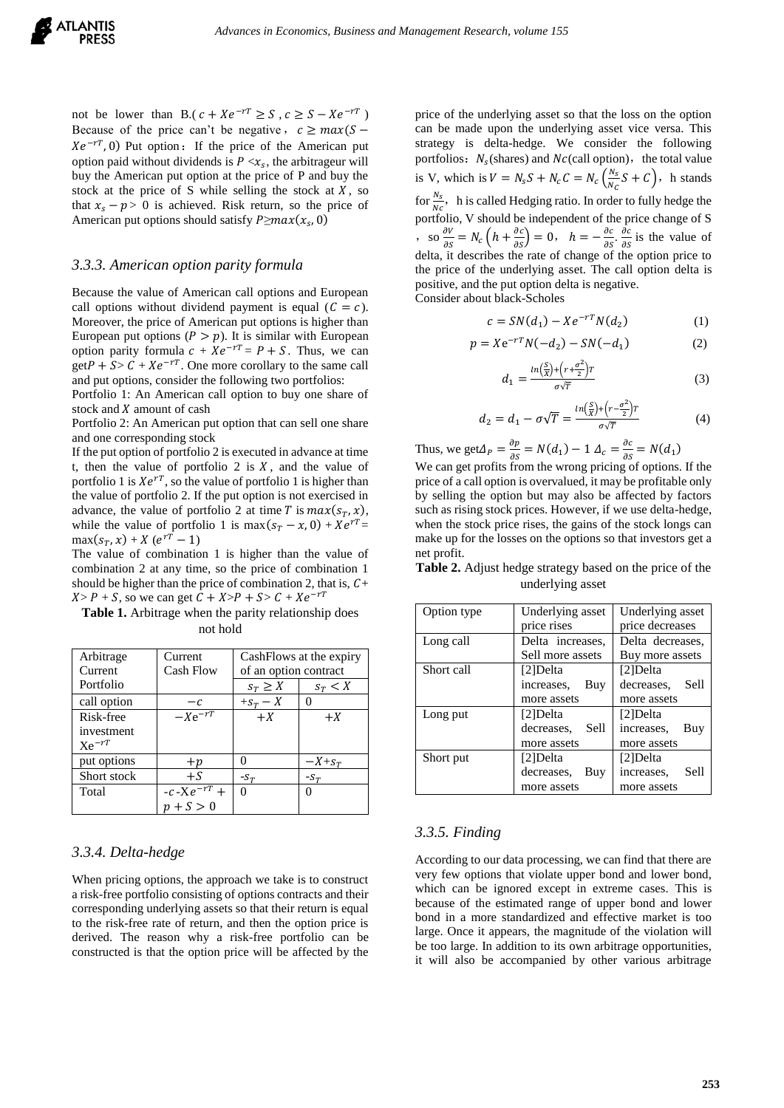not be lower than B.( $c + Xe^{-rT} \ge S$ ,  $c \ge S - Xe^{-rT}$ ) Because of the price can't be negative,  $c \ge max(S Xe^{-rT}$ , 0) Put option: If the price of the American put option paid without dividends is  $P \ll x_s$ , the arbitrageur will buy the American put option at the price of P and buy the stock at the price of S while selling the stock at  $X$ , so that  $x_s - p > 0$  is achieved. Risk return, so the price of American put options should satisfy  $P \ge max(x_s, 0)$ 

#### *3.3.3. American option parity formula*

Because the value of American call options and European call options without dividend payment is equal  $(C = c)$ . Moreover, the price of American put options is higher than European put options  $(P > p)$ . It is similar with European option parity formula  $c + Xe^{-rT} = P + S$ . Thus, we can  $getP + S > C + Xe^{-rT}$ . One more corollary to the same call and put options, consider the following two portfolios:

Portfolio 1: An American call option to buy one share of stock and  $X$  amount of cash

Portfolio 2: An American put option that can sell one share and one corresponding stock

If the put option of portfolio 2 is executed in advance at time t, then the value of portfolio 2 is  $X$ , and the value of portfolio 1 is  $Xe^{rT}$ , so the value of portfolio 1 is higher than the value of portfolio 2. If the put option is not exercised in advance, the value of portfolio 2 at time T is  $max(s_T, x)$ , while the value of portfolio 1 is  $max(s_T - x, 0) + Xe^{rT} =$  $max(s_T, x) + X(e^{rT} - 1)$ 

The value of combination 1 is higher than the value of combination 2 at any time, so the price of combination 1 should be higher than the price of combination 2, that is,  $C+$  $X > P + S$ , so we can get  $C + X > P + S > C + Xe^{-rT}$ 

**Table 1.** Arbitrage when the parity relationship does not hold

| Arbitrage   | Current          | Cash Flows at the expiry |            |
|-------------|------------------|--------------------------|------------|
| Current     | <b>Cash Flow</b> | of an option contract    |            |
| Portfolio   |                  | $S_T \geq X$             | $s_T < X$  |
| call option | $-c$             | $+s_T - X$               |            |
| Risk-free   | $-Xe^{-rT}$      | $+X$                     | $+X$       |
| investment  |                  |                          |            |
| $Xe^{-rT}$  |                  |                          |            |
| put options | $+p$             |                          | $-X + S_T$ |
| Short stock | $+S$             | $-S_T$                   | $-S_T$     |
| Total       | $-c-Xe^{-rT} +$  | 0                        | 0          |
|             | $p + S > 0$      |                          |            |

#### *3.3.4. Delta-hedge*

When pricing options, the approach we take is to construct a risk-free portfolio consisting of options contracts and their corresponding underlying assets so that their return is equal to the risk-free rate of return, and then the option price is derived. The reason why a risk-free portfolio can be constructed is that the option price will be affected by the

price of the underlying asset so that the loss on the option can be made upon the underlying asset vice versa. This strategy is delta-hedge. We consider the following portfolios:  $N_s$ (shares) and  $N_c$ (call option), the total value is V, which is  $V = N_s S + N_c C = N_c \left(\frac{N_s}{N_s}\right)$  $\frac{N_S}{N_C}S + C$ , h stands for  $\frac{N_s}{N}$ , h is called Hedging ratio. In order to fully hedge the portfolio, V should be independent of the price change of S , so  $\frac{\partial V}{\partial s}$  $\frac{\partial V}{\partial S} = N_c \left( h + \frac{\partial c}{\partial S} \right) = 0, \quad h = -\frac{\partial c}{\partial S}$  $\frac{\partial c}{\partial S}$ .  $\frac{\partial c}{\partial S}$  $\frac{\partial c}{\partial s}$  is the value of delta, it describes the rate of change of the option price to the price of the underlying asset. The call option delta is positive, and the put option delta is negative. Consider about black-Scholes

$$
c = SN(d_1) - Xe^{-rT}N(d_2)
$$
 (1)

$$
p = X e^{-rT} N(-d_2) - SN(-d_1)
$$
 (2)

$$
d_1 = \frac{\ln\left(\frac{S}{X}\right) + \left(r + \frac{\sigma^2}{2}\right)r}{\sigma\sqrt{T}}\tag{3}
$$

$$
d_2 = d_1 - \sigma \sqrt{T} = \frac{\ln(\frac{S}{X}) + \left(r - \frac{\sigma^2}{2}\right)r}{\sigma \sqrt{T}} \tag{4}
$$

Thus, we get  $\Delta_P = \frac{\partial p}{\partial s}$  $\frac{\partial p}{\partial s} = N(d_1) - 1 \Delta_c = \frac{\partial c}{\partial s}$  $\frac{\partial c}{\partial s} = N(d_1)$ We can get profits from the wrong pricing of options. If the price of a call option is overvalued, it may be profitable only by selling the option but may also be affected by factors such as rising stock prices. However, if we use delta-hedge, when the stock price rises, the gains of the stock longs can make up for the losses on the options so that investors get a net profit.

**Table 2.** Adjust hedge strategy based on the price of the underlying asset

| Option type | Underlying asset   | Underlying asset   |  |
|-------------|--------------------|--------------------|--|
|             | price rises        | price decreases    |  |
| Long call   | Delta increases.   | Delta decreases.   |  |
|             | Sell more assets   | Buy more assets    |  |
| Short call  | [2]Delta           | $[2]$ Delta        |  |
|             | increases,<br>Buy  | decreases.<br>Sell |  |
|             | more assets        | more assets        |  |
| Long put    | [2]Delta           | [2]Delta           |  |
|             | Sell<br>decreases. | increases.<br>Buy  |  |
|             | more assets        | more assets        |  |
| Short put   | [2]Delta           | [2]Delta           |  |
|             | decreases,<br>Buy  | Sell<br>increases. |  |
|             | more assets        | more assets        |  |

#### *3.3.5. Finding*

According to our data processing, we can find that there are very few options that violate upper bond and lower bond, which can be ignored except in extreme cases. This is because of the estimated range of upper bond and lower bond in a more standardized and effective market is too large. Once it appears, the magnitude of the violation will be too large. In addition to its own arbitrage opportunities, it will also be accompanied by other various arbitrage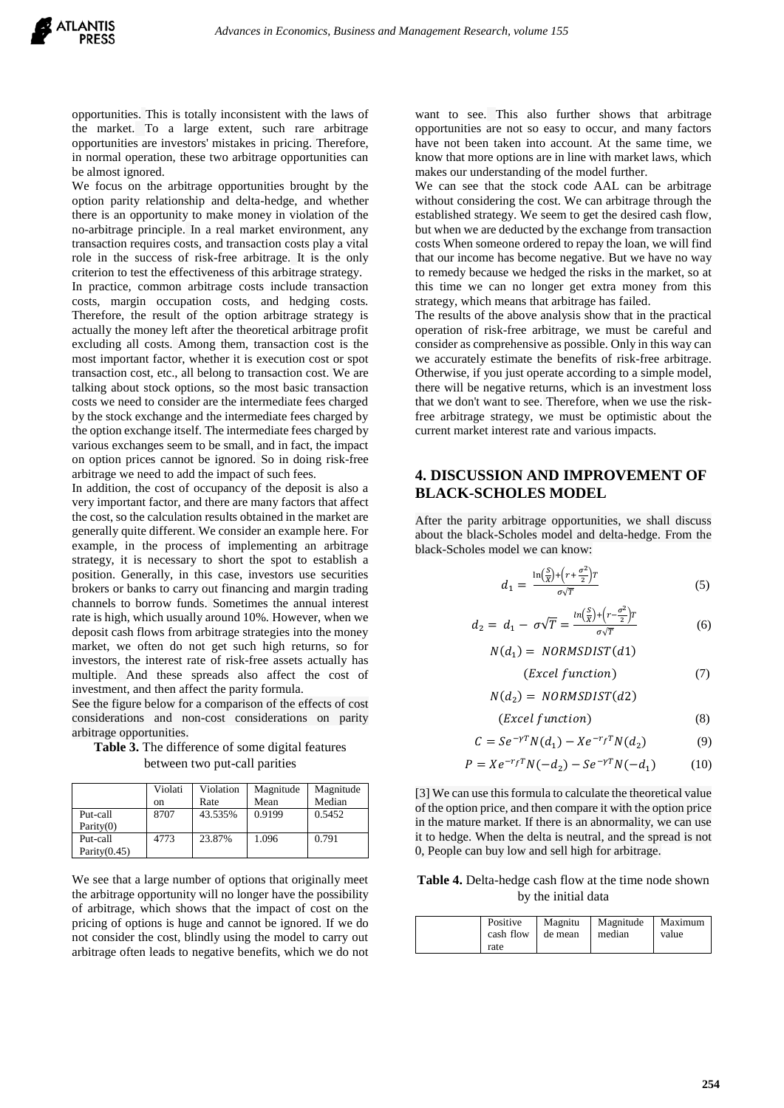opportunities. This is totally inconsistent with the laws of the market. To a large extent, such rare arbitrage opportunities are investors' mistakes in pricing. Therefore, in normal operation, these two arbitrage opportunities can be almost ignored.

We focus on the arbitrage opportunities brought by the option parity relationship and delta-hedge, and whether there is an opportunity to make money in violation of the no-arbitrage principle. In a real market environment, any transaction requires costs, and transaction costs play a vital role in the success of risk-free arbitrage. It is the only criterion to test the effectiveness of this arbitrage strategy. In practice, common arbitrage costs include transaction costs, margin occupation costs, and hedging costs. Therefore, the result of the option arbitrage strategy is actually the money left after the theoretical arbitrage profit excluding all costs. Among them, transaction cost is the most important factor, whether it is execution cost or spot transaction cost, etc., all belong to transaction cost. We are talking about stock options, so the most basic transaction costs we need to consider are the intermediate fees charged by the stock exchange and the intermediate fees charged by the option exchange itself. The intermediate fees charged by various exchanges seem to be small, and in fact, the impact on option prices cannot be ignored. So in doing risk-free arbitrage we need to add the impact of such fees.

In addition, the cost of occupancy of the deposit is also a very important factor, and there are many factors that affect the cost, so the calculation results obtained in the market are generally quite different. We consider an example here. For example, in the process of implementing an arbitrage strategy, it is necessary to short the spot to establish a position. Generally, in this case, investors use securities brokers or banks to carry out financing and margin trading channels to borrow funds. Sometimes the annual interest rate is high, which usually around 10%. However, when we deposit cash flows from arbitrage strategies into the money market, we often do not get such high returns, so for investors, the interest rate of risk-free assets actually has multiple. And these spreads also affect the cost of investment, and then affect the parity formula.

See the figure below for a comparison of the effects of cost considerations and non-cost considerations on parity arbitrage opportunities.

**Table 3.** The difference of some digital features between two put-call parities

|                 | Violati<br>on | Violation<br>Rate | Magnitude<br>Mean | Magnitude<br>Median |
|-----------------|---------------|-------------------|-------------------|---------------------|
| Put-call        | 8707          | 43.535%           | 0.9199            | 0.5452              |
| Parity $(0)$    |               |                   |                   |                     |
| Put-call        | 4773          | 23.87%            | 1.096             | 0.791               |
| Parity $(0.45)$ |               |                   |                   |                     |

We see that a large number of options that originally meet the arbitrage opportunity will no longer have the possibility of arbitrage, which shows that the impact of cost on the pricing of options is huge and cannot be ignored. If we do not consider the cost, blindly using the model to carry out arbitrage often leads to negative benefits, which we do not

want to see. This also further shows that arbitrage opportunities are not so easy to occur, and many factors have not been taken into account. At the same time, we know that more options are in line with market laws, which makes our understanding of the model further.

We can see that the stock code AAL can be arbitrage without considering the cost. We can arbitrage through the established strategy. We seem to get the desired cash flow, but when we are deducted by the exchange from transaction costs When someone ordered to repay the loan, we will find that our income has become negative. But we have no way to remedy because we hedged the risks in the market, so at this time we can no longer get extra money from this strategy, which means that arbitrage has failed.

The results of the above analysis show that in the practical operation of risk-free arbitrage, we must be careful and consider as comprehensive as possible. Only in this way can we accurately estimate the benefits of risk-free arbitrage. Otherwise, if you just operate according to a simple model, there will be negative returns, which is an investment loss that we don't want to see. Therefore, when we use the riskfree arbitrage strategy, we must be optimistic about the current market interest rate and various impacts.

#### **4. DISCUSSION AND IMPROVEMENT OF BLACK-SCHOLES MODEL**

After the parity arbitrage opportunities, we shall discuss about the black-Scholes model and delta-hedge. From the black-Scholes model we can know:

$$
d_1 = \frac{\ln\left(\frac{S}{X}\right) + \left(r + \frac{\sigma^2}{2}\right)r}{\sigma\sqrt{T}}
$$
\n<sup>(5)</sup>

$$
d_2 = d_1 - \sigma \sqrt{T} = \frac{\ln(\frac{S}{X}) + \left(r - \frac{\sigma^2}{2}\right)T}{\sigma \sqrt{T}}
$$
(6)

$$
N(d_1) = NORMSDIST(d1)
$$

$$
(Excel function) \t(7)
$$

$$
N(d_2) = NORMSDIST(d2)
$$

$$
(Excel function) \t\t(8)
$$

$$
C = Se^{-\gamma T} N(d_1) - Xe^{-r_f T} N(d_2)
$$
 (9)

$$
P = X e^{-r_f T} N(-d_2) - S e^{-\gamma T} N(-d_1)
$$
 (10)

[3] We can use this formula to calculate the theoretical value of the option price, and then compare it with the option price in the mature market. If there is an abnormality, we can use it to hedge. When the delta is neutral, and the spread is not 0, People can buy low and sell high for arbitrage.

**Table 4.** Delta-hedge cash flow at the time node shown by the initial data

|      |                          | Positive   Magnitu   Magnitude   Maximum |       |
|------|--------------------------|------------------------------------------|-------|
|      | cash flow de mean median |                                          | value |
| rate |                          |                                          |       |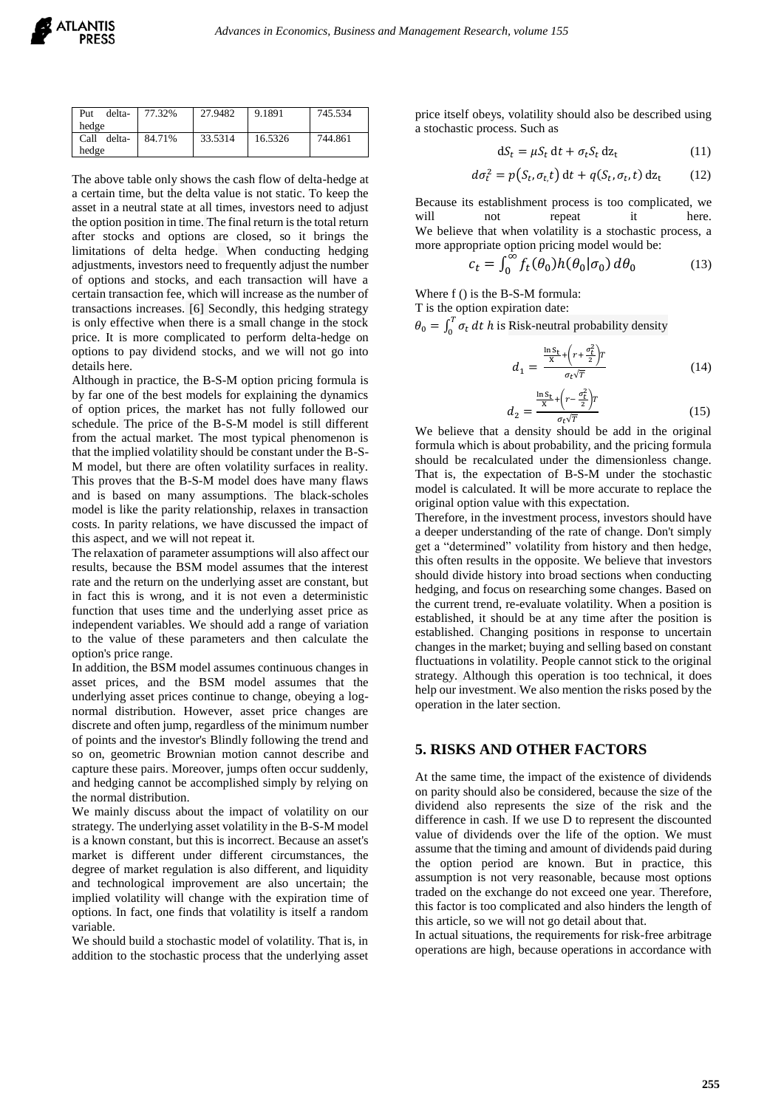| Put                | delta-   77.32% | 27.9482 | 9.1891  | 745.534 |
|--------------------|-----------------|---------|---------|---------|
| hedge              |                 |         |         |         |
| Call delta- 84.71% |                 | 33.5314 | 16.5326 | 744.861 |
| hedge              |                 |         |         |         |

The above table only shows the cash flow of delta-hedge at a certain time, but the delta value is not static. To keep the asset in a neutral state at all times, investors need to adjust the option position in time. The final return is the total return after stocks and options are closed, so it brings the limitations of delta hedge. When conducting hedging adjustments, investors need to frequently adjust the number of options and stocks, and each transaction will have a certain transaction fee, which will increase as the number of transactions increases. [6] Secondly, this hedging strategy is only effective when there is a small change in the stock price. It is more complicated to perform delta-hedge on options to pay dividend stocks, and we will not go into details here.

Although in practice, the B-S-M option pricing formula is by far one of the best models for explaining the dynamics of option prices, the market has not fully followed our schedule. The price of the B-S-M model is still different from the actual market. The most typical phenomenon is that the implied volatility should be constant under the B-S-M model, but there are often volatility surfaces in reality. This proves that the B-S-M model does have many flaws and is based on many assumptions. The black-scholes model is like the parity relationship, relaxes in transaction costs. In parity relations, we have discussed the impact of this aspect, and we will not repeat it.

The relaxation of parameter assumptions will also affect our results, because the BSM model assumes that the interest rate and the return on the underlying asset are constant, but in fact this is wrong, and it is not even a deterministic function that uses time and the underlying asset price as independent variables. We should add a range of variation to the value of these parameters and then calculate the option's price range.

In addition, the BSM model assumes continuous changes in asset prices, and the BSM model assumes that the underlying asset prices continue to change, obeying a lognormal distribution. However, asset price changes are discrete and often jump, regardless of the minimum number of points and the investor's Blindly following the trend and so on, geometric Brownian motion cannot describe and capture these pairs. Moreover, jumps often occur suddenly, and hedging cannot be accomplished simply by relying on the normal distribution.

We mainly discuss about the impact of volatility on our strategy. The underlying asset volatility in the B-S-M model is a known constant, but this is incorrect. Because an asset's market is different under different circumstances, the degree of market regulation is also different, and liquidity and technological improvement are also uncertain; the implied volatility will change with the expiration time of options. In fact, one finds that volatility is itself a random variable.

We should build a stochastic model of volatility. That is, in addition to the stochastic process that the underlying asset price itself obeys, volatility should also be described using a stochastic process. Such as

$$
dS_t = \mu S_t dt + \sigma_t S_t dz_t
$$
 (11)

$$
d\sigma_t^2 = p(S_t, \sigma_{t,t}) dt + q(S_t, \sigma_t, t) dz_t
$$
 (12)

Because its establishment process is too complicated, we will not repeat it here. We believe that when volatility is a stochastic process, a more appropriate option pricing model would be:

$$
\mathbf{r}_t = \int_0^\infty f_t(\theta_0) h(\theta_0 | \sigma_0) d\theta_0 \tag{13}
$$

Where f () is the B-S-M formula:

T is the option expiration date:

 $\theta_0 = \int_0^T \sigma_t dt$  $\int_0^1 \sigma_t dt$  h is Risk-neutral probability density

$$
d_1 = \frac{\frac{\ln \mathcal{S}_t}{\mathcal{X}} + \left(r + \frac{\sigma_t^2}{2}\right) r}{\sigma_t \sqrt{T}}
$$
(14)

$$
d_2 = \frac{\frac{\ln S_t}{X} + \left(r - \frac{\sigma_t^2}{2}\right)T}{\sigma_t \sqrt{T}}\tag{15}
$$

We believe that a density should be add in the original formula which is about probability, and the pricing formula should be recalculated under the dimensionless change. That is, the expectation of B-S-M under the stochastic model is calculated. It will be more accurate to replace the original option value with this expectation.

Therefore, in the investment process, investors should have a deeper understanding of the rate of change. Don't simply get a "determined" volatility from history and then hedge, this often results in the opposite. We believe that investors should divide history into broad sections when conducting hedging, and focus on researching some changes. Based on the current trend, re-evaluate volatility. When a position is established, it should be at any time after the position is established. Changing positions in response to uncertain changes in the market; buying and selling based on constant fluctuations in volatility. People cannot stick to the original strategy. Although this operation is too technical, it does help our investment. We also mention the risks posed by the operation in the later section.

#### **5. RISKS AND OTHER FACTORS**

At the same time, the impact of the existence of dividends on parity should also be considered, because the size of the dividend also represents the size of the risk and the difference in cash. If we use D to represent the discounted value of dividends over the life of the option. We must assume that the timing and amount of dividends paid during the option period are known. But in practice, this assumption is not very reasonable, because most options traded on the exchange do not exceed one year. Therefore, this factor is too complicated and also hinders the length of this article, so we will not go detail about that.

In actual situations, the requirements for risk-free arbitrage operations are high, because operations in accordance with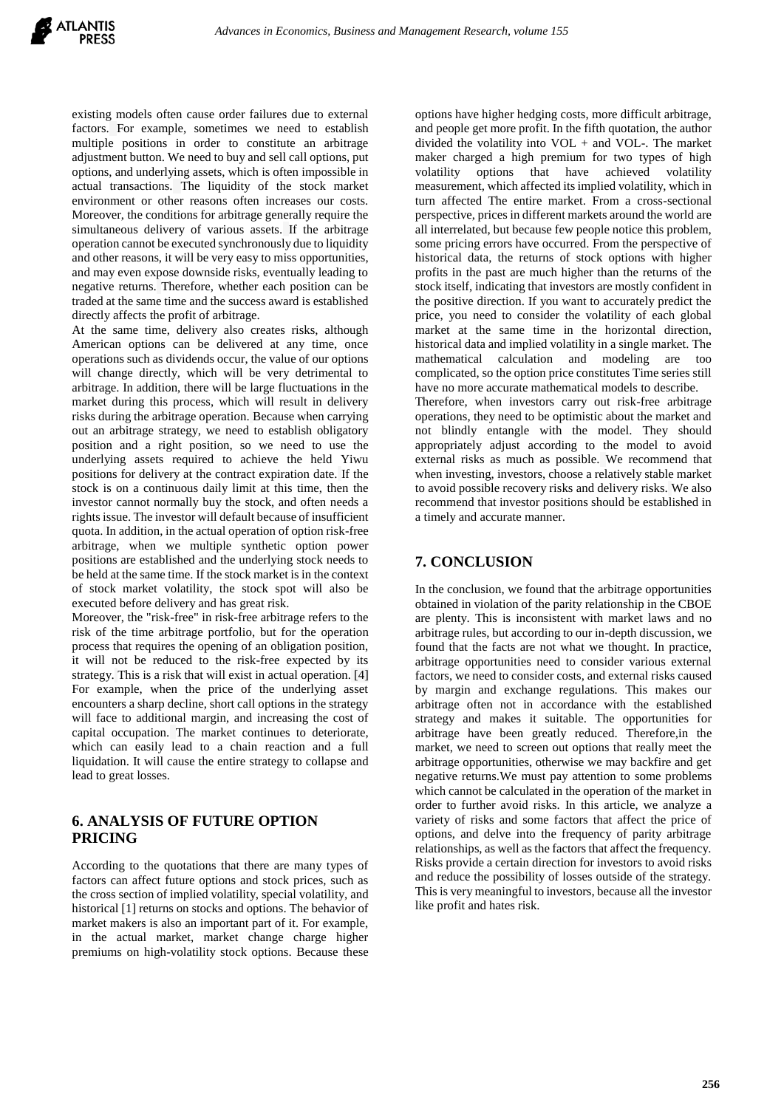existing models often cause order failures due to external factors. For example, sometimes we need to establish multiple positions in order to constitute an arbitrage adjustment button. We need to buy and sell call options, put options, and underlying assets, which is often impossible in actual transactions. The liquidity of the stock market environment or other reasons often increases our costs. Moreover, the conditions for arbitrage generally require the simultaneous delivery of various assets. If the arbitrage operation cannot be executed synchronously due to liquidity and other reasons, it will be very easy to miss opportunities, and may even expose downside risks, eventually leading to negative returns. Therefore, whether each position can be traded at the same time and the success award is established directly affects the profit of arbitrage.

At the same time, delivery also creates risks, although American options can be delivered at any time, once operations such as dividends occur, the value of our options will change directly, which will be very detrimental to arbitrage. In addition, there will be large fluctuations in the market during this process, which will result in delivery risks during the arbitrage operation. Because when carrying out an arbitrage strategy, we need to establish obligatory position and a right position, so we need to use the underlying assets required to achieve the held Yiwu positions for delivery at the contract expiration date. If the stock is on a continuous daily limit at this time, then the investor cannot normally buy the stock, and often needs a rights issue. The investor will default because of insufficient quota. In addition, in the actual operation of option risk-free arbitrage, when we multiple synthetic option power positions are established and the underlying stock needs to be held at the same time. If the stock market is in the context of stock market volatility, the stock spot will also be executed before delivery and has great risk.

Moreover, the "risk-free" in risk-free arbitrage refers to the risk of the time arbitrage portfolio, but for the operation process that requires the opening of an obligation position, it will not be reduced to the risk-free expected by its strategy. This is a risk that will exist in actual operation. [4] For example, when the price of the underlying asset encounters a sharp decline, short call options in the strategy will face to additional margin, and increasing the cost of capital occupation. The market continues to deteriorate, which can easily lead to a chain reaction and a full liquidation. It will cause the entire strategy to collapse and lead to great losses.

# **6. ANALYSIS OF FUTURE OPTION PRICING**

According to the quotations that there are many types of factors can affect future options and stock prices, such as the cross section of implied volatility, special volatility, and historical [1] returns on stocks and options. The behavior of market makers is also an important part of it. For example, in the actual market, market change charge higher premiums on high-volatility stock options. Because these

options have higher hedging costs, more difficult arbitrage, and people get more profit. In the fifth quotation, the author divided the volatility into  $VOL +$  and  $VOL$ . The market maker charged a high premium for two types of high volatility options that have achieved volatility measurement, which affected its implied volatility, which in turn affected The entire market. From a cross-sectional perspective, prices in different markets around the world are all interrelated, but because few people notice this problem, some pricing errors have occurred. From the perspective of historical data, the returns of stock options with higher profits in the past are much higher than the returns of the stock itself, indicating that investors are mostly confident in the positive direction. If you want to accurately predict the price, you need to consider the volatility of each global market at the same time in the horizontal direction, historical data and implied volatility in a single market. The mathematical calculation and modeling are too complicated, so the option price constitutes Time series still have no more accurate mathematical models to describe.

Therefore, when investors carry out risk-free arbitrage operations, they need to be optimistic about the market and not blindly entangle with the model. They should appropriately adjust according to the model to avoid external risks as much as possible. We recommend that when investing, investors, choose a relatively stable market to avoid possible recovery risks and delivery risks. We also recommend that investor positions should be established in a timely and accurate manner.

## **7. CONCLUSION**

In the conclusion, we found that the arbitrage opportunities obtained in violation of the parity relationship in the CBOE are plenty. This is inconsistent with market laws and no arbitrage rules, but according to our in-depth discussion, we found that the facts are not what we thought. In practice, arbitrage opportunities need to consider various external factors, we need to consider costs, and external risks caused by margin and exchange regulations. This makes our arbitrage often not in accordance with the established strategy and makes it suitable. The opportunities for arbitrage have been greatly reduced. Therefore,in the market, we need to screen out options that really meet the arbitrage opportunities, otherwise we may backfire and get negative returns.We must pay attention to some problems which cannot be calculated in the operation of the market in order to further avoid risks. In this article, we analyze a variety of risks and some factors that affect the price of options, and delve into the frequency of parity arbitrage relationships, as well as the factors that affect the frequency. Risks provide a certain direction for investors to avoid risks and reduce the possibility of losses outside of the strategy. This is very meaningful to investors, because all the investor like profit and hates risk.